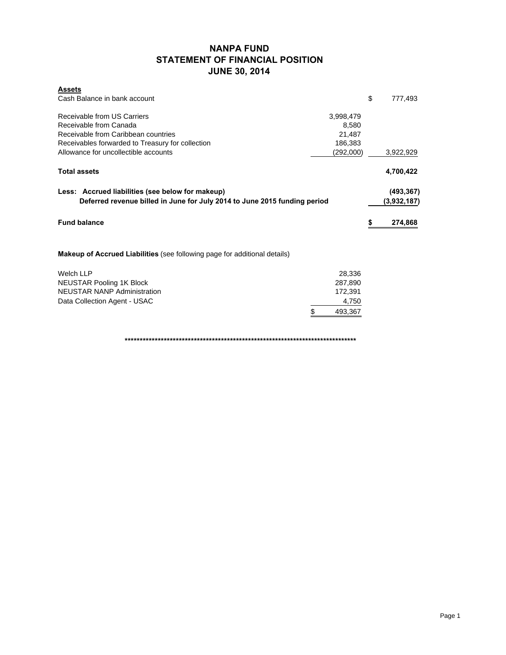# **NANPA FUND STATEMENT OF FINANCIAL POSITION JUNE 30, 2014**

| <b>Assets</b>                                                                                                                 |           |    |                           |
|-------------------------------------------------------------------------------------------------------------------------------|-----------|----|---------------------------|
| Cash Balance in bank account                                                                                                  |           | \$ | 777,493                   |
| Receivable from US Carriers                                                                                                   | 3,998,479 |    |                           |
| Receivable from Canada                                                                                                        | 8,580     |    |                           |
| Receivable from Caribbean countries                                                                                           | 21,487    |    |                           |
| Receivables forwarded to Treasury for collection                                                                              | 186,383   |    |                           |
| Allowance for uncollectible accounts                                                                                          | (292,000) |    | 3,922,929                 |
| <b>Total assets</b>                                                                                                           |           |    | 4,700,422                 |
| Less: Accrued liabilities (see below for makeup)<br>Deferred revenue billed in June for July 2014 to June 2015 funding period |           |    | (493, 367)<br>(3,932,187) |
| <b>Fund balance</b>                                                                                                           |           | æ  | 274,868                   |
| <b>Makeup of Accrued Liabilities</b> (see following page for additional details)                                              |           |    |                           |
| <b>Welch LLP</b>                                                                                                              | 28,336    |    |                           |
| <b>NEUSTAR Pooling 1K Block</b>                                                                                               | 287,890   |    |                           |
| <b>NEUSTAR NANP Administration</b>                                                                                            | 172,391   |    |                           |
| Data Collection Agent - USAC                                                                                                  | 4,750     |    |                           |
| \$                                                                                                                            | 493,367   |    |                           |

**\*\*\*\*\*\*\*\*\*\*\*\*\*\*\*\*\*\*\*\*\*\*\*\*\*\*\*\*\*\*\*\*\*\*\*\*\*\*\*\*\*\*\*\*\*\*\*\*\*\*\*\*\*\*\*\*\*\*\*\*\*\*\*\*\*\*\*\*\*\*\*\*\*\*\*\*\***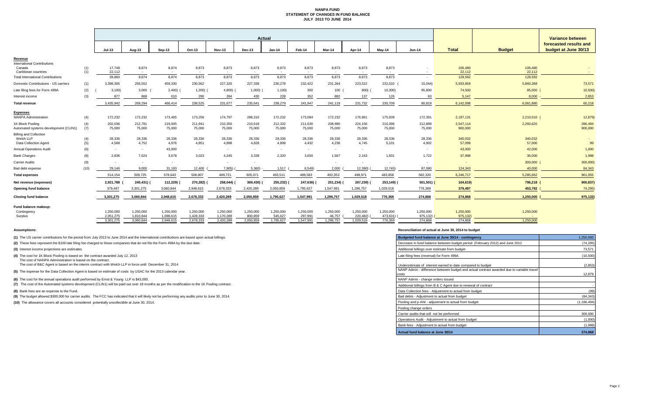# **NANPA FUND STATEMENT OF CHANGES IN FUND BALANCE JULY 2013 TO JUNE 2014**

|                                                                 |            | <b>Actual</b>    |                 |                         |                          |                          |                 |                           |                          |                          |                 |                         | <b>Variance between</b>  |                   |                   |                                                |
|-----------------------------------------------------------------|------------|------------------|-----------------|-------------------------|--------------------------|--------------------------|-----------------|---------------------------|--------------------------|--------------------------|-----------------|-------------------------|--------------------------|-------------------|-------------------|------------------------------------------------|
|                                                                 |            | $Jul-13$         | <b>Aug-13</b>   | <b>Sep-13</b>           | <b>Oct-13</b>            | <b>Nov-13</b>            | <b>Dec-13</b>   | $Jan-14$                  | Feb-14                   | Mar-14                   | Apr-14          | May-14                  | <b>Jun-14</b>            | <b>Total</b>      | <b>Budget</b>     | forecasted results and<br>budget at June 30/13 |
| <b>Revenue</b>                                                  |            |                  |                 |                         |                          |                          |                 |                           |                          |                          |                 |                         |                          |                   |                   |                                                |
| <b>International Contributions</b>                              |            |                  |                 |                         |                          |                          |                 |                           |                          |                          |                 |                         |                          |                   |                   |                                                |
| Canada                                                          | (1)<br>(1) | 17,748<br>22,112 | 8,874           | 8,874                   | 8,873                    | 8,873                    | 8,873           | 8,873                     | 8,873                    | 8,873                    | 8,873           | 8,873                   |                          | 106,480<br>22,112 | 106,480<br>22,112 |                                                |
| Caribbean countries<br><b>Total International Contributions</b> |            | 39,860           | $\sim$<br>8,874 | $\sim$ $ \sim$<br>8,874 | 8,873                    | 8,873                    | $\sim$<br>8,873 | $\sim$ 100 $\pm$<br>8,873 | 8,873                    | 8,873                    | $\sim$<br>8,873 | $\sim$ $ \sim$<br>8,873 | $\sim$<br>$\sim$         | 128,592           | 128,592           |                                                |
| <b>Domestic Contributions - US carriers</b>                     | (1)        | 3,398,305        | 256,552         | 459,330                 | 230,562                  | 227,320                  | 227,338         | 230,278                   | 232,422                  | 231,264                  | 223,522         | 232,010                 | 15,044                   | 5,933,859         | 5,860,288         | 73,571                                         |
| Late filing fees for Form 499A                                  | (2)        | 3,100            | 3,000           | 2,400)                  | 1,200)                   | 4,800)                   | $1,000$ )       | 1,100                     | 300                      | 100                      | 800)            | 10,300                  | 95,800                   | 74,500            | 85,000 (          | 10,500)                                        |
| Interest income                                                 | (3)        | 877              | 868             | 610                     | 290                      | 284                      | 430             | 228                       | 352                      | 882                      | 137             | 126                     | 63                       | 5,147             | $8,000 -$         | 2,853                                          |
| <b>Total revenue</b>                                            |            | 3,435,942        | 269,294         | 466,414                 | 238,525                  | 231,677                  | 235,641         | 238,279                   | 241,947                  | 241,119                  | 231,732         | 230,709                 | 80,819                   | 6,142,098         | 6,081,880         | 60,218                                         |
|                                                                 |            |                  |                 |                         |                          |                          |                 |                           |                          |                          |                 |                         |                          |                   |                   |                                                |
| <b>Expenses</b>                                                 |            |                  |                 |                         |                          |                          |                 |                           |                          |                          |                 |                         |                          |                   |                   |                                                |
| <b>NANPA Administration</b>                                     | (4)        | 172,232          | 172,232         | 173,465                 | 173,256                  | 174,797                  | 288,310         | 172,232                   | 173,084                  | 172,232                  | 176,961         | 175,939                 | 172,391                  | 2,197,131         | $2,210,010$ (     | 12,879)                                        |
| 1K Block Pooling                                                | (4)        | 202,036          | 212,781         | 219,005                 | 211,941                  | 210,350                  | 210,618         | 212,332                   | 211,630                  | 208,980                  | 224,156         | 210,396                 | 212,889                  | 2,547,114         | 2,260,620         | 286,494                                        |
| Automated systems development (CLIN1)                           | (7)        | 75,000           | 75,000          | 75,000                  | 75,000                   | 75,000                   | 75,000          | 75,000                    | 75,000                   | 75,000                   | 75,000          | 75,000                  | 75,000                   | 900,000           |                   | 900,000                                        |
| <b>Billing and Collection</b><br>Welch LLP                      | (4)        | 28,336           | 28,336          | 28,336                  | 28,336                   | 28,336                   | 28,336          | 28,336                    | 28,336                   | 28,336                   | 28,336          | 28,336                  | 28,336                   | 340,032           | 340,032           |                                                |
| <b>Data Collection Agent</b>                                    | (5)        | 4,568            | 4,752           | 4,976                   | 4,851                    | 4,898                    | 4,828           | 4,808                     | 4,432                    | 4,238                    | 4,745           | 5,101                   | 4,902                    | 57,099            | 57,000            | 99                                             |
| <b>Annual Operations Audit</b>                                  | (6)        |                  | $\sim$          | 43,000                  | $\overline{\phantom{0}}$ | $\overline{\phantom{0}}$ |                 | $\sim$                    | $\overline{\phantom{0}}$ | $\overline{\phantom{0}}$ |                 |                         |                          | 43,000            | 42,000            | 1,000                                          |
| <b>Bank Charges</b>                                             | (8)        | 2,836            | 7,624           | 3,678                   | 3,023                    | 4,245                    | 3,339           | 2,320                     | 3,650                    | 1,567                    | 2,163           | 1,831                   | 1,722                    | 37,998            | 36,000            | 1,998                                          |
| <b>Carrier Audits</b>                                           | (9)        |                  | $\sim$          | $\sim$                  | $\sim$                   | $\overline{\phantom{0}}$ | $\sim$          |                           |                          | $\sim$                   | $\sim$          | $\sim$                  | $\overline{\phantom{a}}$ |                   | 300,000 (         | 300,000)                                       |
| Bad debt expense                                                | (10)       | 29,146           | 9,000           | 31,183                  | 12,400 (                 | 7,905)                   | 5,360           | 1,517                     | 6,549)                   | 2,000                    | 12,390)         | 12,745)                 | 87,080                   | 124,343           | 40,000            | 84,343                                         |
| <b>Total expenses</b>                                           |            | 514,154          | 509,725         | 578,643                 | 508,807                  | 489,721                  | 605,071         | 493,511                   | 489,583                  | 492,353                  | 498,971         | 483,858                 | 582,320                  | 6,246,717         | 5,285,662         | 961,055                                        |
| Net revenue (expenses)                                          |            | 2,921,788        | 240,431) (      | 112,229)                | 270,282) (               | 258,044) (               | 369,430) (      | 255,232) (                | 247,636) (               | 251,234) (               | 267,239) (      | 253,149) (              | $501,501)$ (             | 104,619)          | 796,218 (         | 900,837)                                       |
| <b>Opening fund balance</b>                                     |            | 379,487          | 3,301,275       | 3,060,844               | 2,948,615                | 2,678,333                | 2,420,289       | 2,050,859                 | 1,795,627                | 1,547,991                | 1,296,757       | 1,029,518               | 776,369                  | 379,487           | 453,782 (         | 74,295)                                        |
| <b>Closing fund balance</b>                                     |            | 3,301,275        | 3,060,844       | 2,948,615               | 2,678,333                | 2,420,289                | 2,050,859       | 1,795,627                 | 1,547,991                | 1,296,757                | 1,029,518       | 776,369                 | 274,868                  | 274,868           | $1,250,000$ (     | 975,132)                                       |
| Fund balance makeup:                                            |            |                  |                 |                         |                          |                          |                 |                           |                          |                          |                 |                         |                          |                   |                   |                                                |
| Contingency                                                     |            | 1,250,000        | 1,250,000       | 1,250,000               | 1,250,000                | 1,250,000                | 1,250,000       | 1,250,000                 | 1,250,000                | 1,250,000                | 1,250,000       | 1,250,000               | 1,250,000                | 1,250,000         | 1,250,000         |                                                |
| Surplus                                                         |            | 2,051,275        | 1,810,844       | 1,698,615               | 1,428,333                | 1,170,289                | 800,859         | 545,627                   | 297,991                  | 46,757                   | 220,482)        | 473,631)                | 975,132)                 | 975,132)          | <b>Contract</b>   |                                                |
|                                                                 |            | 3,301,275        | 3,060,844       | 2,948,615               | 2,678,333                | 2,420,289                | 2,050,859       | 1,795,627                 | 1,547,991                | 1,296,757                | 1,029,518       | 776,369                 | 274,868                  | 274,868           | 1,250,000         |                                                |

# **Assumptions: Reconciliation of actual at June 30, 2014 to budget**

| 1,250,000     |
|---------------|
| (74, 295)     |
| 73,571        |
| (10, 500)     |
| (2,853)       |
| 12,879        |
|               |
|               |
| (99)          |
| (84, 343)     |
| (1, 186, 494) |
|               |
| 300,000       |
| (1,000)       |
| (1,998)       |
|               |

| (1) The US carrier contributions for the period from July 2013 to June 2014 and the International contributions are based upon actual billings.                      | Budgeted fund balance at June 30/14 - contingency                                         | 1,250,000     |
|----------------------------------------------------------------------------------------------------------------------------------------------------------------------|-------------------------------------------------------------------------------------------|---------------|
| (2) These fees represent the \$100 late filing fee charged to those companies that do not file the Form 499A by the due date.                                        | Decrease in fund balance between budget period (February 2012) and June 2012              | (74, 295)     |
| (3) Interest income projections are estimates                                                                                                                        | Additional billings over estimate from budget                                             | 73,571        |
| (4) The cost for 1K Block Pooling is based on the contract awarded July 12, 2013                                                                                     | Late filing fees (reversal) for Form 499A                                                 | (10, 500)     |
| The cost of NANPA Administration is based on the contract.<br>The cost of B&C Agent is based on the interim contract with Welch LLP in force until December 31, 2014 | Underestimate of interest earned to date compared to budget                               |               |
|                                                                                                                                                                      | NANP Admin - difference between budget and actual contract awarded due to variable travel | (2, 853)      |
| (5) The expense for the Data Collection Agent is based on estimate of costs by USAC for the 2013 calendar year.                                                      | costs                                                                                     | 12,879        |
| (6) The cost for the annual operations audit performed by Ernst & Young LLP is \$43,000.                                                                             | NANP Admin - change orders issued                                                         |               |
| (7) The cost of the Automated systems development (CLIN1) will be paid out over 18 months as per the modification to the 1K Pooling contract.                        | Additional billings from B & C Agent due to renewal of contract                           |               |
| (8) Bank fees are an expense to the Fund.                                                                                                                            | Data Collection fees - Adjustment to actual from budget                                   | (99)          |
| (9) The budget allowed \$300,000 for carrier audits. The FCC has indicated that it will likely not be performing any audits prior to June 30, 2014.                  | Bad debts - Adjustment to actual from budget                                              | (84, 343)     |
| (10) The allowance covers all accounts considered potentially uncollectible at June 30, 2014.                                                                        | Pooling and p-ANI - adjustment to actual from budget                                      | (1, 186, 494) |
|                                                                                                                                                                      | Pooling change orders                                                                     |               |
|                                                                                                                                                                      | Carrier audits that will not be performed                                                 | 300,000       |
|                                                                                                                                                                      | Operations Audit - Adjustment to actual from budget                                       | (1,000)       |
|                                                                                                                                                                      | Bank fees - Adjustment to actual from budget                                              | (1,998)       |
|                                                                                                                                                                      | Actual fund balance at June 30/14                                                         | 274,868       |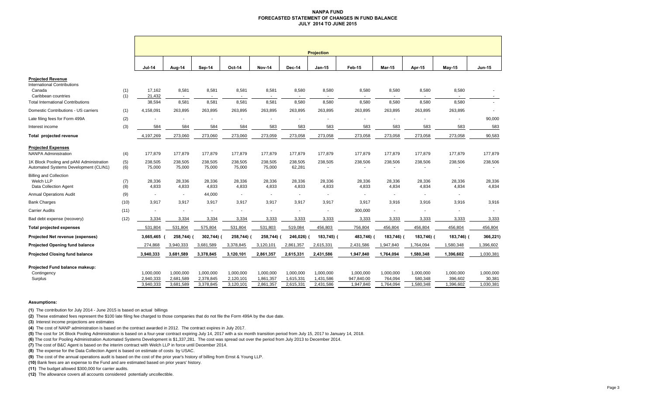#### **NANPA FUND FORECASTED STATEMENT OF CHANGES IN FUND BALANCEJULY 2014 TO JUNE 2015**

|                                                                                                 |            | <b>Projection</b>                   |                                     |                                     |                                     |                                     |                                     |                                     |                                      |                                   |                                   |                                   |                                    |
|-------------------------------------------------------------------------------------------------|------------|-------------------------------------|-------------------------------------|-------------------------------------|-------------------------------------|-------------------------------------|-------------------------------------|-------------------------------------|--------------------------------------|-----------------------------------|-----------------------------------|-----------------------------------|------------------------------------|
|                                                                                                 |            | <b>Jul-14</b>                       | Aug-14                              | Sep-14                              | Oct-14                              | <b>Nov-14</b>                       | <b>Dec-14</b>                       | $Jan-15$                            | Feb-15                               | <b>Mar-15</b>                     | Apr-15                            | May-15                            | Jun-15                             |
| <b>Projected Revenue</b><br><b>International Contributions</b><br>Canada<br>Caribbean countries | (1)<br>(1) | 17,162<br>21,432                    | 8,581<br>$\sim$                     | 8,581<br>$\sim$                     | 8,581                               | 8,581                               | 8,580<br>$\sim$                     | 8,580<br>$\overline{\phantom{a}}$   | 8,580<br>$\sim$                      | 8,580                             | 8,580                             | 8,580                             | $\sim$                             |
| <b>Total International Contributions</b><br>Domestic Contributions - US carriers                | (1)        | 38,594<br>4,158,091                 | 8,581<br>263,895                    | 8,581<br>263,895                    | 8,581<br>263,895                    | 8,581<br>263,895                    | 8,580<br>263,895                    | 8,580<br>263,895                    | 8,580<br>263,895                     | 8,580<br>263,895                  | 8,580<br>263,895                  | 8,580<br>263,895                  | $\sim$<br>$\overline{\phantom{a}}$ |
|                                                                                                 | (2)        |                                     |                                     |                                     |                                     | ٠                                   |                                     | $\overline{\phantom{a}}$            |                                      | $\overline{a}$                    |                                   |                                   | 90,000                             |
| Late filing fees for Form 499A<br>Interest income                                               | (3)        | 584                                 | 584                                 | 584                                 | 584                                 | 583                                 | 583                                 | 583                                 | 583                                  | 583                               | 583                               | 583                               | 583                                |
| Total projected revenue                                                                         |            | 4,197,269                           | 273,060                             | 273,060                             | 273,060                             | 273,059                             | 273,058                             | 273,058                             | 273,058                              | 273,058                           | 273,058                           | 273,058                           | 90,583                             |
| <b>Projected Expenses</b><br><b>NANPA Administration</b>                                        | (4)        | 177,879                             | 177,879                             | 177,879                             | 177,879                             | 177,879                             | 177,879                             | 177,879                             | 177,879                              | 177,879                           | 177,879                           | 177,879                           | 177,879                            |
| 1K Block Pooling and pANI Administration<br>Automated Systems Development (CLIN1)               | (5)<br>(6) | 238,505<br>75,000                   | 238,505<br>75,000                   | 238,505<br>75,000                   | 238,505<br>75,000                   | 238,505<br>75,000                   | 238,505<br>62,281                   | 238,505                             | 238,506                              | 238,506                           | 238,506                           | 238,506                           | 238,506                            |
| <b>Billing and Collection</b><br>Welch LLP<br>Data Collection Agent                             | (7)<br>(8) | 28,336<br>4,833                     | 28,336<br>4,833                     | 28,336<br>4,833                     | 28,336<br>4,833                     | 28,336<br>4,833                     | 28,336<br>4,833                     | 28,336<br>4,833                     | 28,336<br>4,833                      | 28,336<br>4,834                   | 28,336<br>4,834                   | 28,336<br>4,834                   | 28,336<br>4,834                    |
| <b>Annual Operations Audit</b>                                                                  | (9)        | $\blacksquare$                      | $\blacksquare$                      | 44,000                              | $\overline{\phantom{a}}$            | ÷,                                  | $\overline{\phantom{a}}$            | $\blacksquare$                      | $\overline{\phantom{a}}$             | $\blacksquare$                    | $\blacksquare$                    | $\blacksquare$                    |                                    |
| <b>Bank Charges</b>                                                                             | (10)       | 3,917                               | 3,917                               | 3,917                               | 3,917                               | 3,917                               | 3,917                               | 3,917                               | 3,917                                | 3,916                             | 3,916                             | 3,916                             | 3,916                              |
| <b>Carrier Audits</b>                                                                           | (11)       | $\blacksquare$                      | $\overline{\phantom{a}}$            | $\overline{\phantom{a}}$            |                                     | ٠                                   | $\blacksquare$                      | $\blacksquare$                      | 300,000                              |                                   |                                   | ÷                                 |                                    |
| Bad debt expense (recovery)                                                                     | (12)       | 3,334                               | 3,334                               | 3,334                               | 3,334                               | 3,333                               | 3,333                               | 3,333                               | 3,333                                | 3,333                             | 3,333                             | 3,333                             | 3,333                              |
| <b>Total projected expenses</b>                                                                 |            | 531,804                             | 531,804                             | 575,804                             | 531,804                             | 531,803                             | 519,084                             | 456,803                             | 756,804                              | 456,804                           | 456,804                           | 456,804                           | 456,804                            |
| Projected Net revenue (expenses)                                                                |            | 3,665,465                           | 258,744) (                          | 302,744) (                          | 258,744) (                          | 258,744)                            | 246,026)                            | 183,745) (                          | 483,746) (                           | 183,746)                          | 183,746) (                        | 183,746) (                        | 366,221)                           |
| <b>Projected Opening fund balance</b>                                                           |            | 274,868                             | 3,940,333                           | 3,681,589                           | 3,378,845                           | 3,120,101                           | 2,861,357                           | 2,615,331                           | 2,431,586                            | 1,947,840                         | 1,764,094                         | 1,580,348                         | 1,396,602                          |
| <b>Projected Closing fund balance</b>                                                           |            | 3,940,333                           | 3,681,589                           | 3,378,845                           | 3,120,101                           | 2,861,357                           | 2,615,331                           | 2,431,586                           | 1,947,840                            | 1,764,094                         | 1,580,348                         | 1,396,602                         | 1,030,381                          |
| Projected Fund balance makeup:<br>Contingency<br>Surplus                                        |            | 1,000,000<br>2,940,333<br>3,940,333 | 1,000,000<br>2,681,589<br>3,681,589 | 1.000.000<br>2,378,845<br>3,378,845 | 1,000,000<br>2,120,101<br>3,120,101 | 1,000,000<br>1,861,357<br>2,861,357 | 1.000.000<br>1,615,331<br>2,615,331 | 1,000,000<br>1,431,586<br>2,431,586 | 1,000,000<br>947,840.00<br>1,947,840 | 1,000,000<br>764,094<br>1,764,094 | 1,000,000<br>580,348<br>1,580,348 | 1,000,000<br>396,602<br>1,396,602 | 1,000,000<br>30,381<br>1,030,381   |

#### **Assumptions:**

**(1)** The contribution for July 2014 - June 2015 is based on actual billings

**(2)** These estimated fees represent the \$100 late filing fee charged to those companies that do not file the Form 499A by the due date.

**(3)** Interest income projections are estimates

**(4)** The cost of NANP administration is based on the contract awarded in 2012. The contract expires in July 2017.

**(5)** The cost for 1K Block Pooling Administration is based on a four-year contract expiring July 14, 2017 with a six month transition period from July 15, 2017 to January 14, 2018.

**(6)** The cost for Pooling Administration Automated Systems Development is \$1,337,281. The cost was spread out over the period from July 2013 to December 2014.

**(7)** The cost of B&C Agent is based on the interim contract with Welch LLP in force until December 2014.

**(8)** The expense for the Data Collection Agent is based on estimate of costs by USAC.

**(9)** The cost of the annual operations audit is based on the cost of the prior year's history of billing from Ernst & Young LLP.

**(10)** Bank fees are an expense to the Fund and are estimated based on prior years' history.

**(11)** The budget allowed \$300,000 for carrier audits.

**(12)** The allowance covers all accounts considered potentially uncollectible.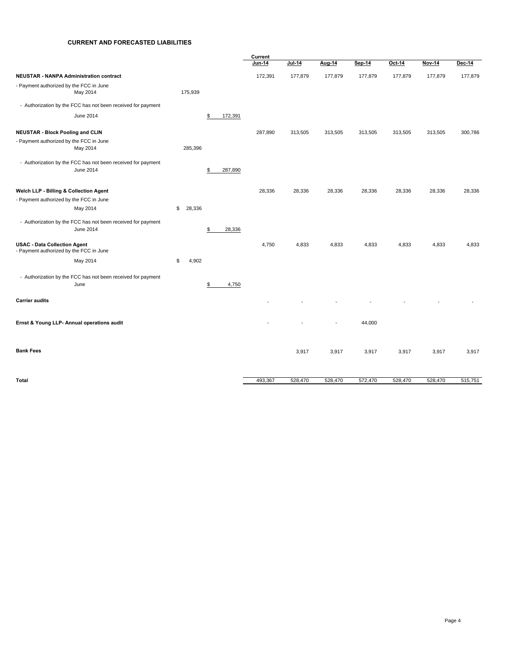#### **CURRENT AND FORECASTED LIABILITIES**

|                                                                                |              |               | Current |         |                          |         |         |         |         |
|--------------------------------------------------------------------------------|--------------|---------------|---------|---------|--------------------------|---------|---------|---------|---------|
|                                                                                |              |               | Jun-14  | Jul-14  | Aug-14                   | Sep 14  | Oct-14  | Nov-14  | Dec-14  |
| <b>NEUSTAR - NANPA Administration contract</b>                                 |              |               | 172,391 | 177,879 | 177,879                  | 177,879 | 177,879 | 177,879 | 177,879 |
| - Payment authorized by the FCC in June<br>May 2014                            | 175,939      |               |         |         |                          |         |         |         |         |
| - Authorization by the FCC has not been received for payment                   |              |               |         |         |                          |         |         |         |         |
| June 2014                                                                      |              | 172,391<br>\$ |         |         |                          |         |         |         |         |
| <b>NEUSTAR - Block Pooling and CLIN</b>                                        |              |               | 287,890 | 313,505 | 313,505                  | 313,505 | 313,505 | 313,505 | 300,786 |
| - Payment authorized by the FCC in June<br>May 2014                            | 285,396      |               |         |         |                          |         |         |         |         |
| - Authorization by the FCC has not been received for payment                   |              |               |         |         |                          |         |         |         |         |
| June 2014                                                                      |              | \$<br>287,890 |         |         |                          |         |         |         |         |
| Welch LLP - Billing & Collection Agent                                         |              |               | 28,336  | 28,336  | 28,336                   | 28,336  | 28,336  | 28,336  | 28,336  |
| - Payment authorized by the FCC in June                                        |              |               |         |         |                          |         |         |         |         |
| May 2014                                                                       | \$<br>28,336 |               |         |         |                          |         |         |         |         |
| - Authorization by the FCC has not been received for payment                   |              |               |         |         |                          |         |         |         |         |
| June 2014                                                                      |              | \$<br>28,336  |         |         |                          |         |         |         |         |
| <b>USAC - Data Collection Agent</b><br>- Payment authorized by the FCC in June |              |               | 4,750   | 4,833   | 4,833                    | 4,833   | 4,833   | 4,833   | 4,833   |
| May 2014                                                                       | \$<br>4,902  |               |         |         |                          |         |         |         |         |
| - Authorization by the FCC has not been received for payment<br>June           |              | 4,750<br>\$   |         |         |                          |         |         |         |         |
|                                                                                |              |               |         |         |                          |         |         |         |         |
| <b>Carrier audits</b>                                                          |              |               |         |         |                          |         |         |         |         |
| Ernst & Young LLP- Annual operations audit                                     |              |               |         |         | $\overline{\phantom{a}}$ | 44,000  |         |         |         |
| <b>Bank Fees</b>                                                               |              |               |         | 3,917   | 3,917                    | 3,917   | 3,917   | 3,917   | 3,917   |
|                                                                                |              |               |         |         |                          |         |         |         |         |
| Total                                                                          |              |               | 493,367 | 528,470 | 528,470                  | 572,470 | 528,470 | 528,470 | 515,751 |